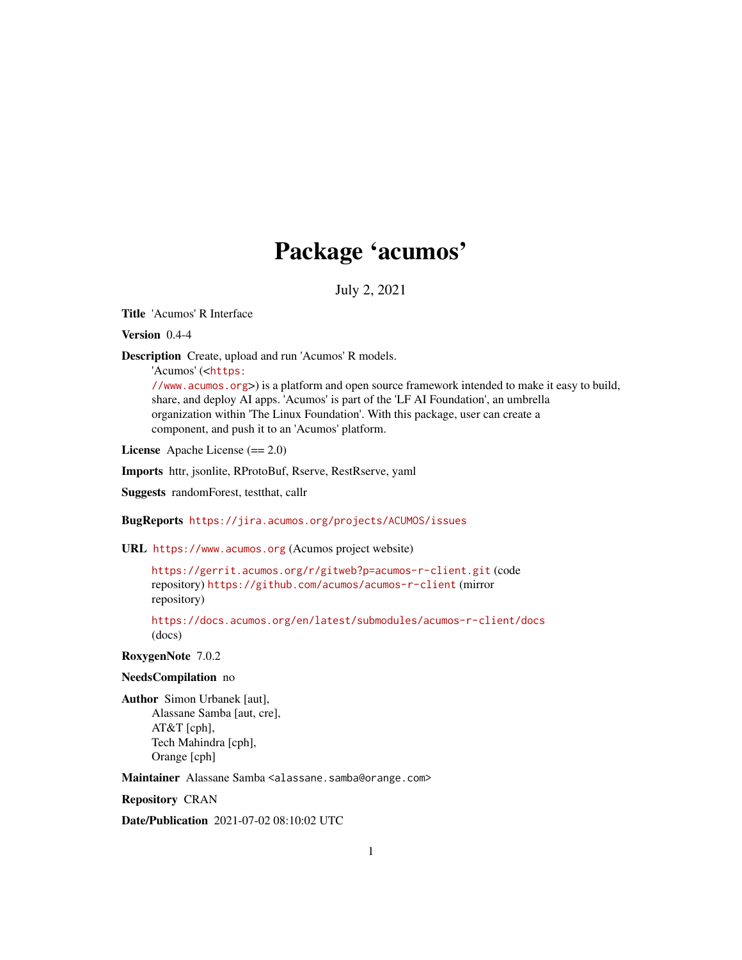## Package 'acumos'

July 2, 2021

Title 'Acumos' R Interface

Version 0.4-4

Description Create, upload and run 'Acumos' R models.

'Acumos' (<[https:](https://www.acumos.org)

[//www.acumos.org](https://www.acumos.org)>) is a platform and open source framework intended to make it easy to build, share, and deploy AI apps. 'Acumos' is part of the 'LF AI Foundation', an umbrella organization within 'The Linux Foundation'. With this package, user can create a component, and push it to an 'Acumos' platform.

License Apache License (== 2.0)

Imports httr, jsonlite, RProtoBuf, Rserve, RestRserve, yaml

Suggests randomForest, testthat, callr

BugReports <https://jira.acumos.org/projects/ACUMOS/issues>

URL <https://www.acumos.org> (Acumos project website)

<https://gerrit.acumos.org/r/gitweb?p=acumos-r-client.git> (code repository) <https://github.com/acumos/acumos-r-client> (mirror repository)

<https://docs.acumos.org/en/latest/submodules/acumos-r-client/docs> (docs)

RoxygenNote 7.0.2

#### NeedsCompilation no

Author Simon Urbanek [aut], Alassane Samba [aut, cre], AT&T [cph], Tech Mahindra [cph], Orange [cph]

Maintainer Alassane Samba <alassane.samba@orange.com>

Repository CRAN

Date/Publication 2021-07-02 08:10:02 UTC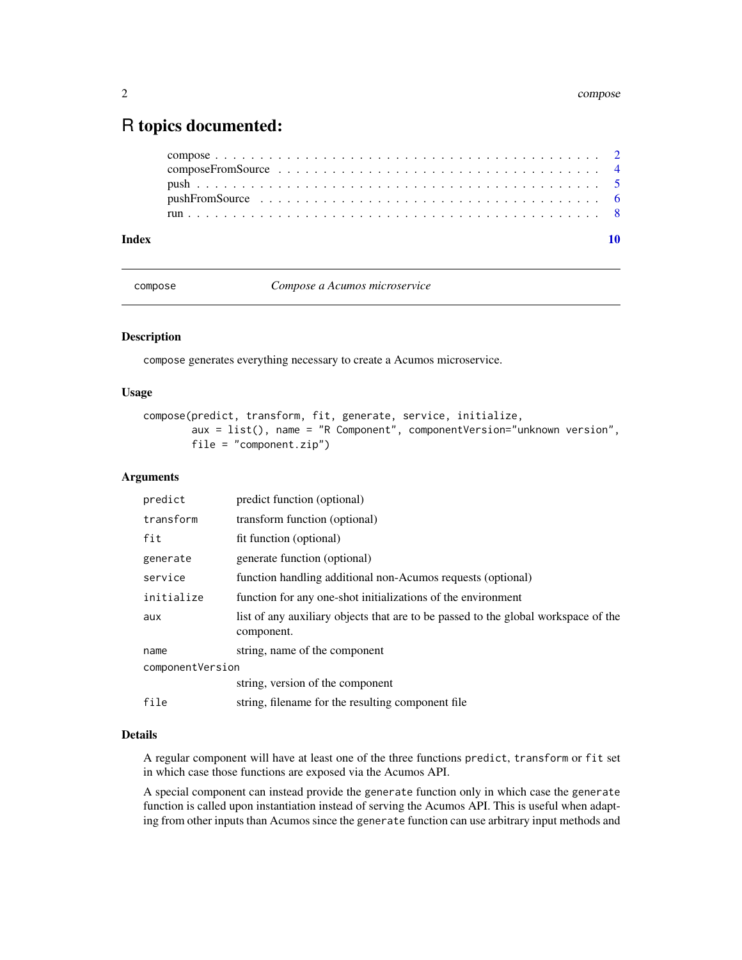## <span id="page-1-0"></span>R topics documented:

| Index |  |
|-------|--|
|       |  |
|       |  |
|       |  |
|       |  |
|       |  |

<span id="page-1-1"></span>compose *Compose a Acumos microservice*

#### Description

compose generates everything necessary to create a Acumos microservice.

#### Usage

```
compose(predict, transform, fit, generate, service, initialize,
       aux = list(), name = "R Component", componentVersion="unknown version",
       file = "component.zip")
```
#### Arguments

| predict          | predict function (optional)                                                                      |  |
|------------------|--------------------------------------------------------------------------------------------------|--|
| transform        | transform function (optional)                                                                    |  |
| fit              | fit function (optional)                                                                          |  |
| generate         | generate function (optional)                                                                     |  |
| service          | function handling additional non-Acumos requests (optional)                                      |  |
| initialize       | function for any one-shot initializations of the environment                                     |  |
| aux              | list of any auxiliary objects that are to be passed to the global workspace of the<br>component. |  |
| name             | string, name of the component                                                                    |  |
| componentVersion |                                                                                                  |  |
|                  | string, version of the component                                                                 |  |
| file             | string, filename for the resulting component file                                                |  |

#### Details

A regular component will have at least one of the three functions predict, transform or fit set in which case those functions are exposed via the Acumos API.

A special component can instead provide the generate function only in which case the generate function is called upon instantiation instead of serving the Acumos API. This is useful when adapting from other inputs than Acumos since the generate function can use arbitrary input methods and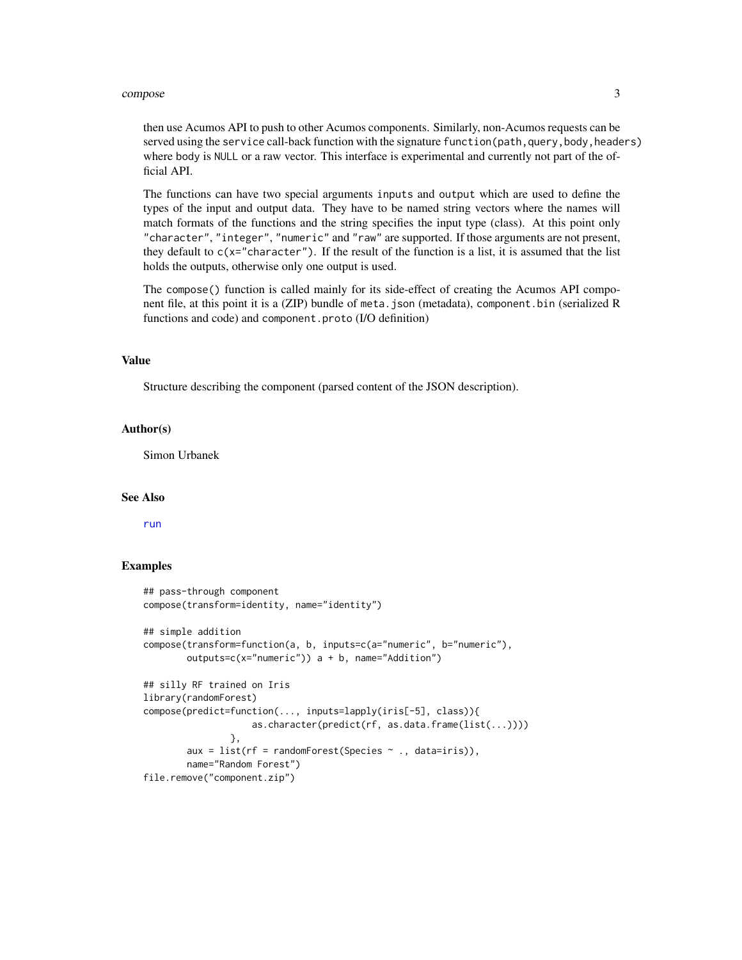#### <span id="page-2-0"></span>compose 3

then use Acumos API to push to other Acumos components. Similarly, non-Acumos requests can be served using the service call-back function with the signature function(path, query, body, headers) where body is NULL or a raw vector. This interface is experimental and currently not part of the official API.

The functions can have two special arguments inputs and output which are used to define the types of the input and output data. They have to be named string vectors where the names will match formats of the functions and the string specifies the input type (class). At this point only "character", "integer", "numeric" and "raw" are supported. If those arguments are not present, they default to  $c(x="character")$ . If the result of the function is a list, it is assumed that the list holds the outputs, otherwise only one output is used.

The compose() function is called mainly for its side-effect of creating the Acumos API component file, at this point it is a (ZIP) bundle of meta.json (metadata), component.bin (serialized R functions and code) and component.proto (I/O definition)

#### Value

Structure describing the component (parsed content of the JSON description).

#### Author(s)

Simon Urbanek

#### See Also

[run](#page-7-1)

#### Examples

```
## pass-through component
compose(transform=identity, name="identity")
## simple addition
compose(transform=function(a, b, inputs=c(a="numeric", b="numeric"),
        outputs=c(x="numeric")) a + b, name="Addition")
## silly RF trained on Iris
library(randomForest)
compose(predict=function(..., inputs=lapply(iris[-5], class)){
                    as.character(predict(rf, as.data.frame(list(...))))
                },
        aux = list(rf = randomForest(Species \sim ., data=iris)),
       name="Random Forest")
file.remove("component.zip")
```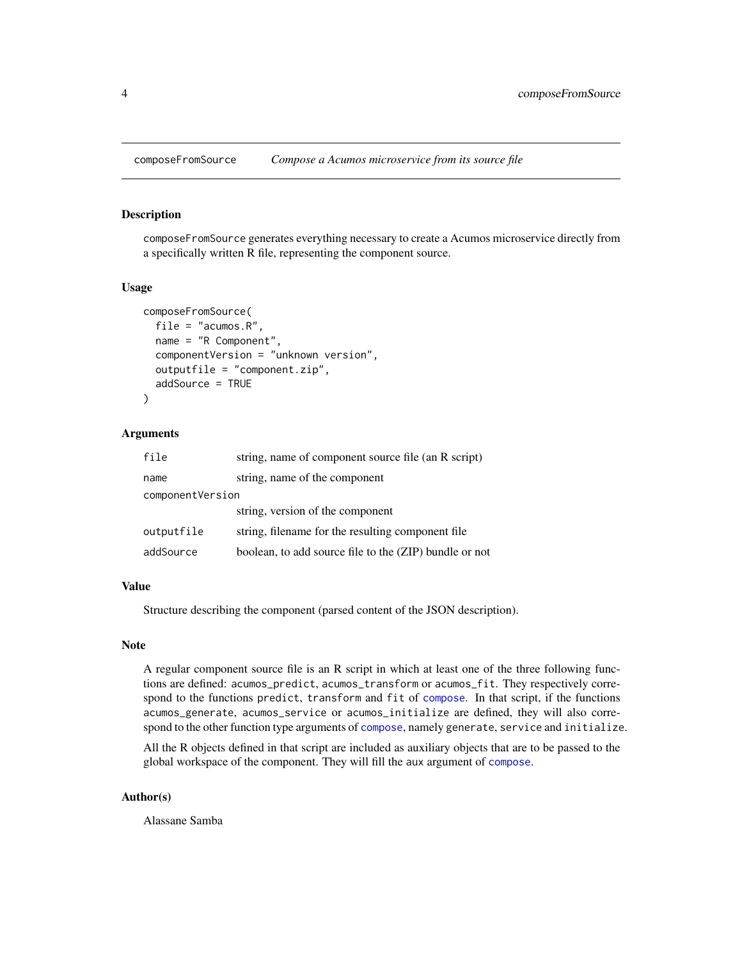<span id="page-3-0"></span>

#### Description

composeFromSource generates everything necessary to create a Acumos microservice directly from a specifically written R file, representing the component source.

#### Usage

```
composeFromSource(
  file = "acumos.R",
  name = "R Component",
  componentVersion = "unknown version",
  outputfile = "component.zip",
  addSource = TRUE
)
```
#### Arguments

| file             | string, name of component source file (an R script)    |  |
|------------------|--------------------------------------------------------|--|
| name             | string, name of the component                          |  |
| componentVersion |                                                        |  |
|                  | string, version of the component                       |  |
| outputfile       | string, filename for the resulting component file.     |  |
| addSource        | boolean, to add source file to the (ZIP) bundle or not |  |

#### Value

Structure describing the component (parsed content of the JSON description).

#### Note

A regular component source file is an R script in which at least one of the three following functions are defined: acumos\_predict, acumos\_transform or acumos\_fit. They respectively correspond to the functions predict, transform and fit of [compose](#page-1-1). In that script, if the functions acumos\_generate, acumos\_service or acumos\_initialize are defined, they will also correspond to the other function type arguments of [compose](#page-1-1), namely generate, service and initialize.

All the R objects defined in that script are included as auxiliary objects that are to be passed to the global workspace of the component. They will fill the aux argument of [compose](#page-1-1).

#### Author(s)

Alassane Samba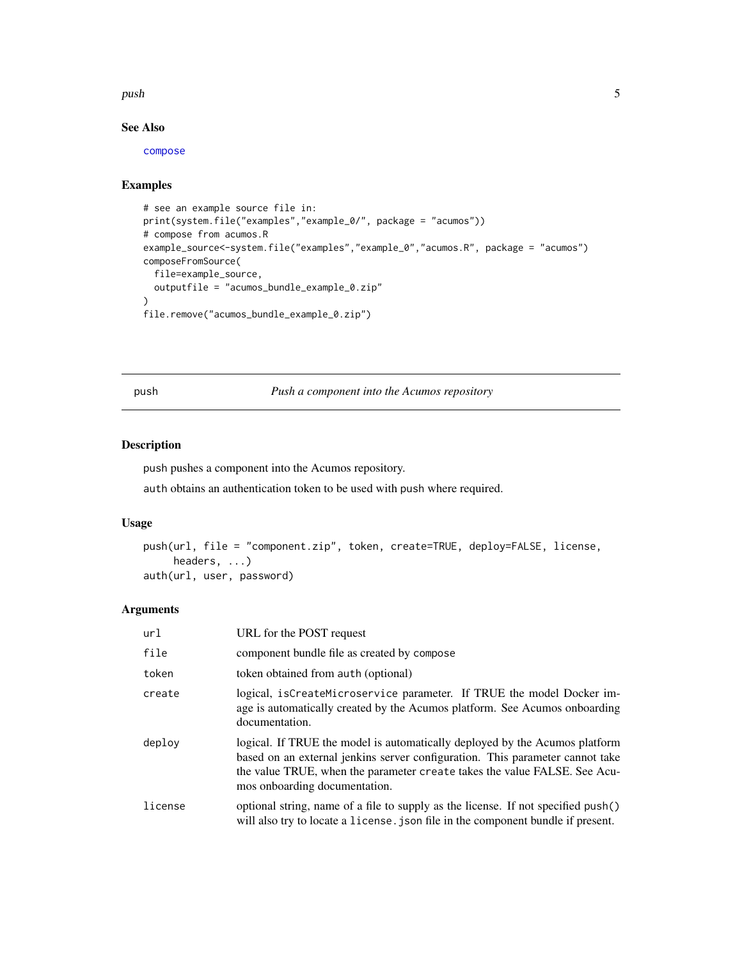#### <span id="page-4-0"></span>push the state of the state of the state of the state of the state of the state of the state of the state of the state of the state of the state of the state of the state of the state of the state of the state of the state

#### See Also

[compose](#page-1-1)

#### Examples

```
# see an example source file in:
print(system.file("examples","example_0/", package = "acumos"))
# compose from acumos.R
example_source<-system.file("examples","example_0","acumos.R", package = "acumos")
composeFromSource(
  file=example_source,
  outputfile = "acumos_bundle_example_0.zip"
)
file.remove("acumos_bundle_example_0.zip")
```
<span id="page-4-1"></span>push *Push a component into the Acumos repository*

#### Description

push pushes a component into the Acumos repository.

auth obtains an authentication token to be used with push where required.

#### Usage

```
push(url, file = "component.zip", token, create=TRUE, deploy=FALSE, license,
     headers, ...)
auth(url, user, password)
```
#### Arguments

| url     | URL for the POST request                                                                                                                                                                                                                                                   |
|---------|----------------------------------------------------------------------------------------------------------------------------------------------------------------------------------------------------------------------------------------------------------------------------|
| file    | component bundle file as created by compose                                                                                                                                                                                                                                |
| token   | token obtained from auth (optional)                                                                                                                                                                                                                                        |
| create  | logical, isCreateMicroservice parameter. If TRUE the model Docker im-<br>age is automatically created by the Acumos platform. See Acumos onboarding<br>documentation.                                                                                                      |
| deplov  | logical. If TRUE the model is automatically deployed by the Acumos platform<br>based on an external jenkins server configuration. This parameter cannot take<br>the value TRUE, when the parameter create takes the value FALSE. See Acu-<br>mos onboarding documentation. |
| license | optional string, name of a file to supply as the license. If not specified push()<br>will also try to locate a license, json file in the component bundle if present.                                                                                                      |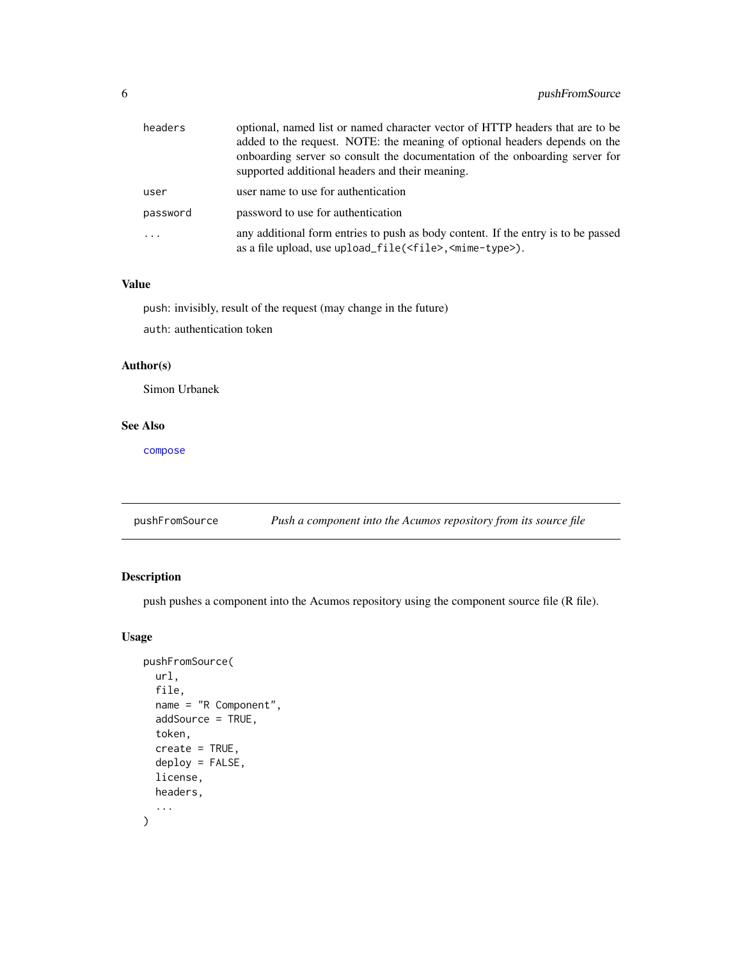<span id="page-5-0"></span>

| headers  | optional, named list or named character vector of HTTP headers that are to be<br>added to the request. NOTE: the meaning of optional headers depends on the<br>onboarding server so consult the documentation of the onboarding server for<br>supported additional headers and their meaning. |
|----------|-----------------------------------------------------------------------------------------------------------------------------------------------------------------------------------------------------------------------------------------------------------------------------------------------|
| user     | user name to use for authentication                                                                                                                                                                                                                                                           |
| password | password to use for authentication                                                                                                                                                                                                                                                            |
|          | any additional form entries to push as body content. If the entry is to be passed<br>as a file upload, use upload_file( <file>,<mime-type>).</mime-type></file>                                                                                                                               |

#### Value

push: invisibly, result of the request (may change in the future)

auth: authentication token

#### Author(s)

Simon Urbanek

#### See Also

[compose](#page-1-1)

pushFromSource *Push a component into the Acumos repository from its source file*

### Description

push pushes a component into the Acumos repository using the component source file (R file).

#### Usage

```
pushFromSource(
  url,
  file,
  name = "R Component",
  addSource = TRUE,
  token,
  create = TRUE,deploy = FALSE,
  license,
  headers,
  ...
\mathcal{E}
```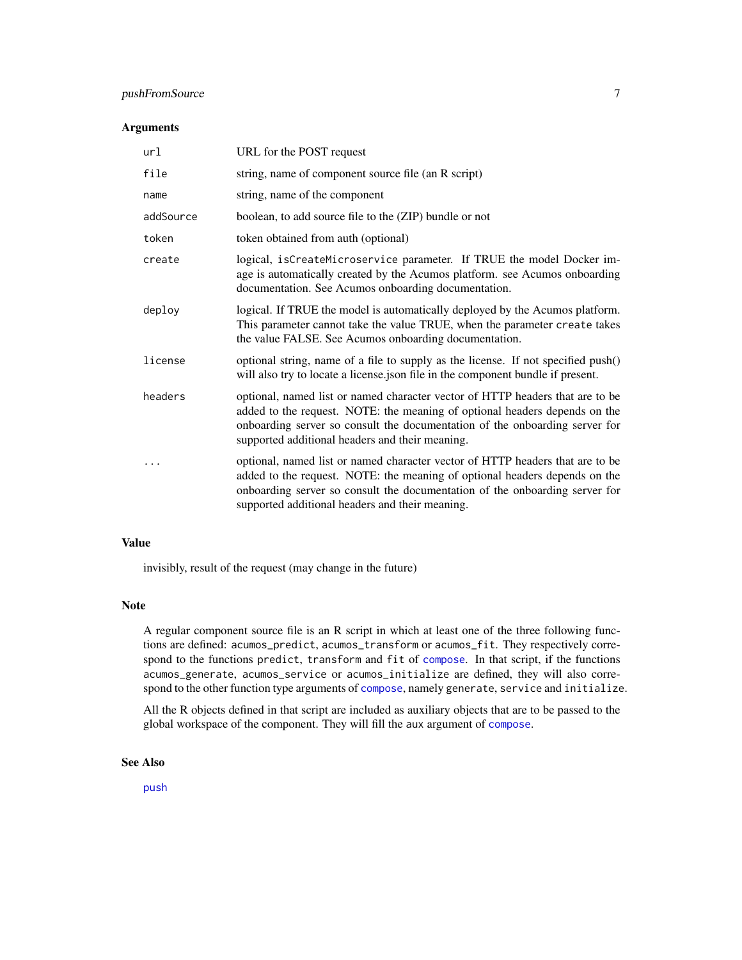#### <span id="page-6-0"></span>pushFromSource 7

#### Arguments

| url       | URL for the POST request                                                                                                                                                                                                                                                                      |
|-----------|-----------------------------------------------------------------------------------------------------------------------------------------------------------------------------------------------------------------------------------------------------------------------------------------------|
| file      | string, name of component source file (an R script)                                                                                                                                                                                                                                           |
| name      | string, name of the component                                                                                                                                                                                                                                                                 |
| addSource | boolean, to add source file to the (ZIP) bundle or not                                                                                                                                                                                                                                        |
| token     | token obtained from auth (optional)                                                                                                                                                                                                                                                           |
| create    | logical, isCreateMicroservice parameter. If TRUE the model Docker im-<br>age is automatically created by the Acumos platform. see Acumos onboarding<br>documentation. See Acumos onboarding documentation.                                                                                    |
| deploy    | logical. If TRUE the model is automatically deployed by the Acumos platform.<br>This parameter cannot take the value TRUE, when the parameter create takes<br>the value FALSE. See Acumos onboarding documentation.                                                                           |
| license   | optional string, name of a file to supply as the license. If not specified push()<br>will also try to locate a license json file in the component bundle if present.                                                                                                                          |
| headers   | optional, named list or named character vector of HTTP headers that are to be<br>added to the request. NOTE: the meaning of optional headers depends on the<br>onboarding server so consult the documentation of the onboarding server for<br>supported additional headers and their meaning. |
|           | optional, named list or named character vector of HTTP headers that are to be<br>added to the request. NOTE: the meaning of optional headers depends on the<br>onboarding server so consult the documentation of the onboarding server for<br>supported additional headers and their meaning. |

#### Value

invisibly, result of the request (may change in the future)

#### Note

A regular component source file is an R script in which at least one of the three following functions are defined: acumos\_predict, acumos\_transform or acumos\_fit. They respectively correspond to the functions predict, transform and fit of [compose](#page-1-1). In that script, if the functions acumos\_generate, acumos\_service or acumos\_initialize are defined, they will also correspond to the other function type arguments of [compose](#page-1-1), namely generate, service and initialize.

All the R objects defined in that script are included as auxiliary objects that are to be passed to the global workspace of the component. They will fill the aux argument of [compose](#page-1-1).

#### See Also

[push](#page-4-1)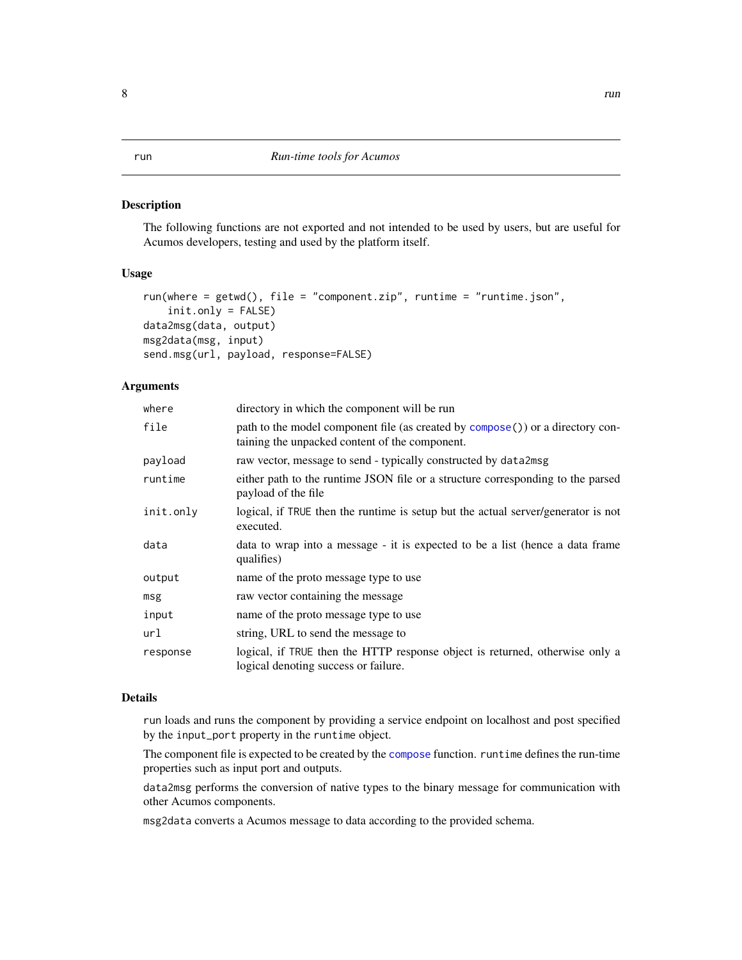#### <span id="page-7-1"></span><span id="page-7-0"></span>Description

The following functions are not exported and not intended to be used by users, but are useful for Acumos developers, testing and used by the platform itself.

#### Usage

```
run(where = getwd(), file = "component,zip", runtime = "runtime.json",init.only = FALSE)
data2msg(data, output)
msg2data(msg, input)
send.msg(url, payload, response=FALSE)
```
#### Arguments

| where     | directory in which the component will be run                                                                                     |
|-----------|----------------------------------------------------------------------------------------------------------------------------------|
| file      | path to the model component file (as created by compose()) or a directory con-<br>taining the unpacked content of the component. |
| payload   | raw vector, message to send - typically constructed by data2msg                                                                  |
| runtime   | either path to the runtime JSON file or a structure corresponding to the parsed<br>payload of the file                           |
| init.only | logical, if TRUE then the runtime is setup but the actual server/generator is not<br>executed.                                   |
| data      | data to wrap into a message - it is expected to be a list (hence a data frame<br>qualifies)                                      |
| output    | name of the proto message type to use                                                                                            |
| msg       | raw vector containing the message                                                                                                |
| input     | name of the proto message type to use                                                                                            |
| url       | string, URL to send the message to                                                                                               |
| response  | logical, if TRUE then the HTTP response object is returned, otherwise only a<br>logical denoting success or failure.             |

#### Details

run loads and runs the component by providing a service endpoint on localhost and post specified by the input\_port property in the runtime object.

The component file is expected to be created by the [compose](#page-1-1) function. runtime defines the run-time properties such as input port and outputs.

data2msg performs the conversion of native types to the binary message for communication with other Acumos components.

msg2data converts a Acumos message to data according to the provided schema.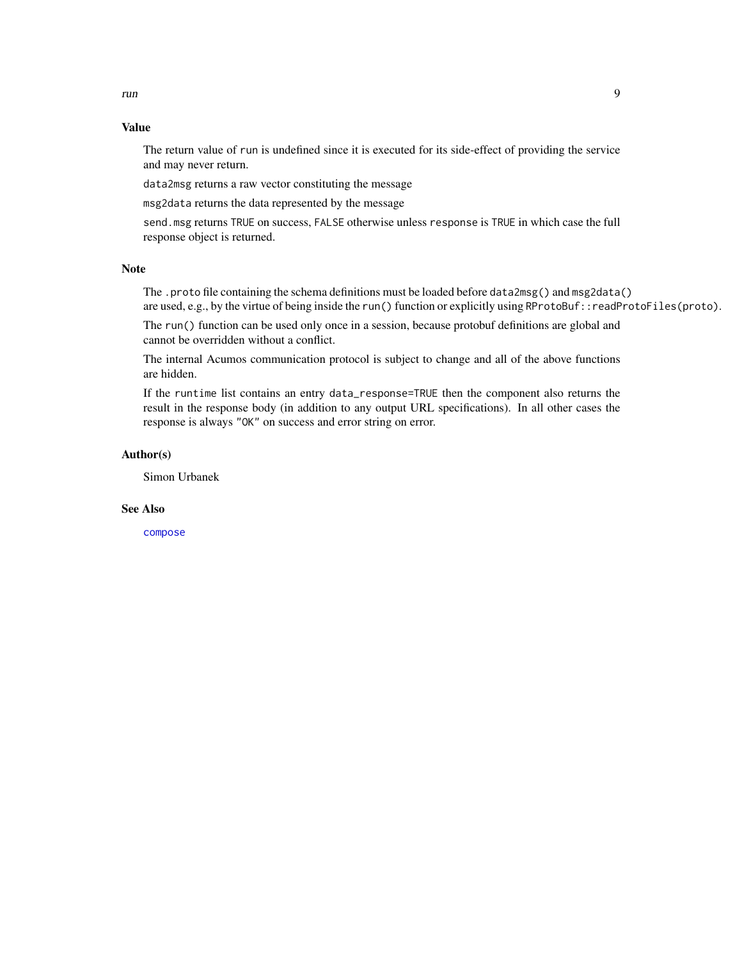### <span id="page-8-0"></span>Value

The return value of run is undefined since it is executed for its side-effect of providing the service and may never return.

data2msg returns a raw vector constituting the message

msg2data returns the data represented by the message

send.msg returns TRUE on success, FALSE otherwise unless response is TRUE in which case the full response object is returned.

#### Note

The .proto file containing the schema definitions must be loaded before data2msg() and msg2data() are used, e.g., by the virtue of being inside the run() function or explicitly using RProtoBuf::readProtoFiles(proto).

The run() function can be used only once in a session, because protobuf definitions are global and cannot be overridden without a conflict.

The internal Acumos communication protocol is subject to change and all of the above functions are hidden.

If the runtime list contains an entry data\_response=TRUE then the component also returns the result in the response body (in addition to any output URL specifications). In all other cases the response is always "OK" on success and error string on error.

#### Author(s)

Simon Urbanek

#### See Also

[compose](#page-1-1)